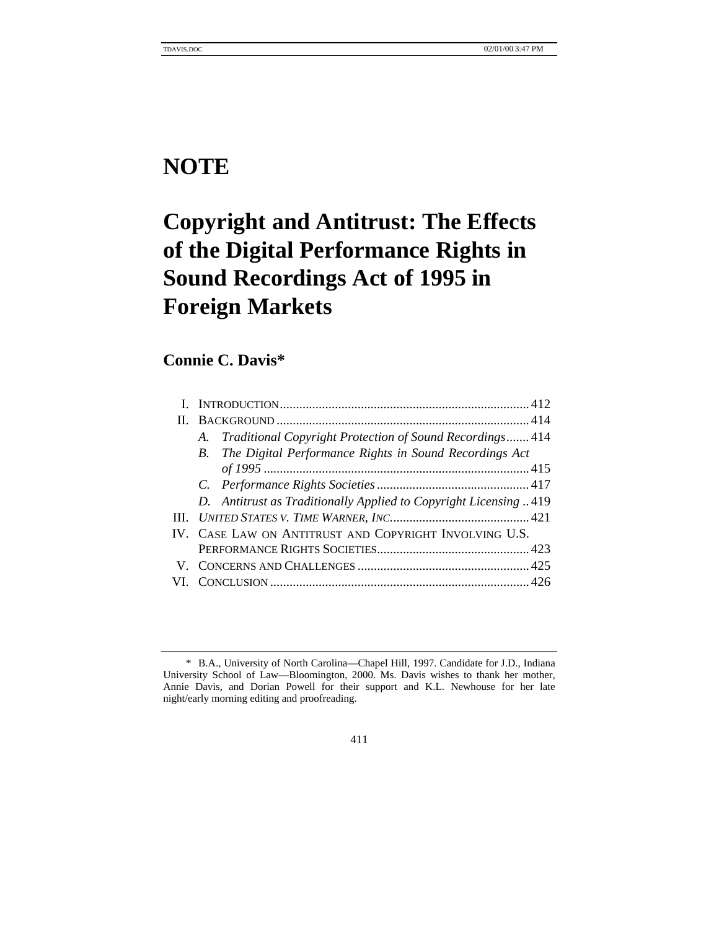# **NOTE**

# **Copyright and Antitrust: The Effects of the Digital Performance Rights in Sound Recordings Act of 1995 in Foreign Markets**

# **Connie C. Davis\***

| A. Traditional Copyright Protection of Sound Recordings 414     |
|-----------------------------------------------------------------|
| B. The Digital Performance Rights in Sound Recordings Act       |
|                                                                 |
|                                                                 |
| D. Antitrust as Traditionally Applied to Copyright Licensing419 |
|                                                                 |
| IV. CASE LAW ON ANTITRUST AND COPYRIGHT INVOLVING U.S.          |
|                                                                 |
|                                                                 |
|                                                                 |

411

<sup>\*</sup> B.A., University of North Carolina—Chapel Hill, 1997. Candidate for J.D., Indiana University School of Law—Bloomington, 2000. Ms. Davis wishes to thank her mother, Annie Davis, and Dorian Powell for their support and K.L. Newhouse for her late night/early morning editing and proofreading.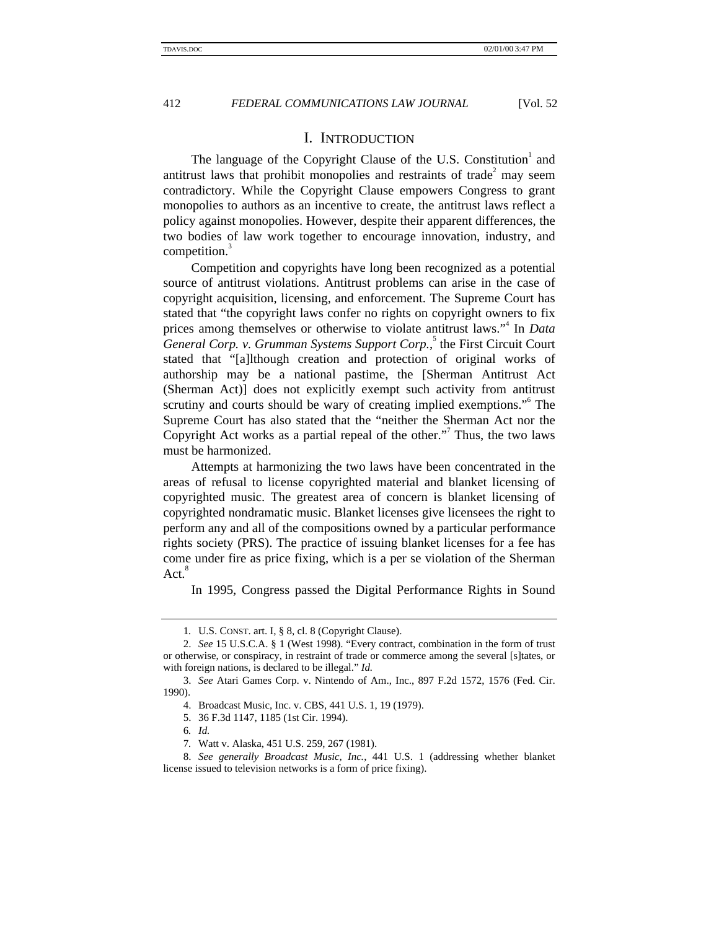# I. INTRODUCTION

The language of the Copyright Clause of the U.S. Constitution<sup>1</sup> and antitrust laws that prohibit monopolies and restraints of trade<sup>2</sup> may seem contradictory. While the Copyright Clause empowers Congress to grant monopolies to authors as an incentive to create, the antitrust laws reflect a policy against monopolies. However, despite their apparent differences, the two bodies of law work together to encourage innovation, industry, and competition.<sup>3</sup>

Competition and copyrights have long been recognized as a potential source of antitrust violations. Antitrust problems can arise in the case of copyright acquisition, licensing, and enforcement. The Supreme Court has stated that "the copyright laws confer no rights on copyright owners to fix prices among themselves or otherwise to violate antitrust laws." 4 In *Data* General Corp. v. Grumman Systems Support Corp.,<sup>5</sup> the First Circuit Court stated that "[a]lthough creation and protection of original works of authorship may be a national pastime, the [Sherman Antitrust Act (Sherman Act)] does not explicitly exempt such activity from antitrust scrutiny and courts should be wary of creating implied exemptions." The Supreme Court has also stated that the "neither the Sherman Act nor the Copyright Act works as a partial repeal of the other."<sup>7</sup> Thus, the two laws must be harmonized.

Attempts at harmonizing the two laws have been concentrated in the areas of refusal to license copyrighted material and blanket licensing of copyrighted music. The greatest area of concern is blanket licensing of copyrighted nondramatic music. Blanket licenses give licensees the right to perform any and all of the compositions owned by a particular performance rights society (PRS). The practice of issuing blanket licenses for a fee has come under fire as price fixing, which is a per se violation of the Sherman Act.<sup>8</sup>

In 1995, Congress passed the Digital Performance Rights in Sound

<sup>1</sup>*.* U.S. CONST. art. I, § 8, cl. 8 (Copyright Clause).

<sup>2.</sup> *See* 15 U.S.C.A. § 1 (West 1998). "Every contract, combination in the form of trust or otherwise, or conspiracy, in restraint of trade or commerce among the several [s]tates, or with foreign nations, is declared to be illegal." *Id.*

<sup>3.</sup> *See* Atari Games Corp. v. Nintendo of Am., Inc., 897 F.2d 1572, 1576 (Fed. Cir. 1990).

<sup>4.</sup> Broadcast Music, Inc. v. CBS, 441 U.S. 1, 19 (1979).

<sup>5. 36</sup> F.3d 1147, 1185 (1st Cir. 1994).

<sup>6</sup>*. Id.*

<sup>7</sup>*.* Watt v. Alaska, 451 U.S. 259, 267 (1981).

<sup>8.</sup> *See generally Broadcast Music, Inc.*, 441 U.S. 1 (addressing whether blanket license issued to television networks is a form of price fixing).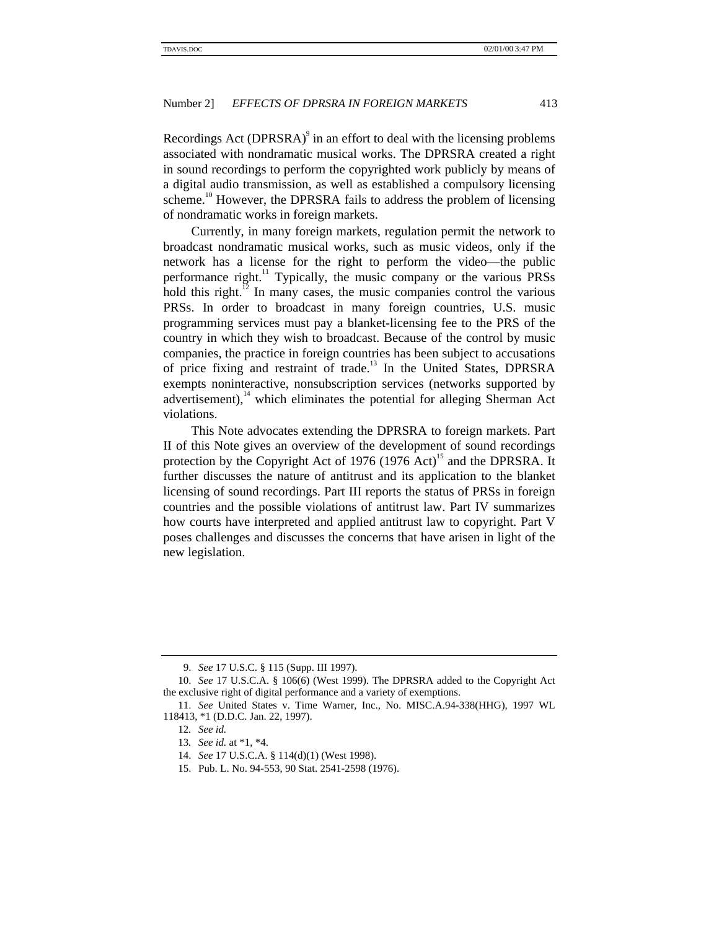Recordings Act (DPRSRA) $\degree$  in an effort to deal with the licensing problems associated with nondramatic musical works. The DPRSRA created a right in sound recordings to perform the copyrighted work publicly by means of a digital audio transmission, as well as established a compulsory licensing scheme.<sup>10</sup> However, the DPRSRA fails to address the problem of licensing of nondramatic works in foreign markets.

Currently, in many foreign markets, regulation permit the network to broadcast nondramatic musical works, such as music videos, only if the network has a license for the right to perform the video—the public performance right.<sup>11</sup> Typically, the music company or the various PRSs hold this right.<sup>12</sup> In many cases, the music companies control the various PRSs. In order to broadcast in many foreign countries, U.S. music programming services must pay a blanket-licensing fee to the PRS of the country in which they wish to broadcast. Because of the control by music companies, the practice in foreign countries has been subject to accusations of price fixing and restraint of trade.<sup>13</sup> In the United States, DPRSRA exempts noninteractive, nonsubscription services (networks supported by advertisement), $14$  which eliminates the potential for alleging Sherman Act violations.

This Note advocates extending the DPRSRA to foreign markets. Part II of this Note gives an overview of the development of sound recordings protection by the Copyright Act of 1976  $(1976 \text{ Act})^1$ <sup>5</sup> and the DPRSRA. It further discusses the nature of antitrust and its application to the blanket licensing of sound recordings. Part III reports the status of PRSs in foreign countries and the possible violations of antitrust law. Part IV summarizes how courts have interpreted and applied antitrust law to copyright. Part V poses challenges and discusses the concerns that have arisen in light of the new legislation.

<sup>9.</sup> *See* 17 U.S.C. § 115 (Supp. III 1997).

<sup>10.</sup> *See* 17 U.S.C.A. § 106(6) (West 1999). The DPRSRA added to the Copyright Act the exclusive right of digital performance and a variety of exemptions.

<sup>11.</sup> *See* United States v. Time Warner, Inc., No. MISC.A.94-338(HHG), 1997 WL 118413, \*1 (D.D.C. Jan. 22, 1997).

<sup>12</sup>*. See id.*

<sup>13</sup>*. See id.* at \*1, \*4.

<sup>14.</sup> *See* 17 U.S.C.A. § 114(d)(1) (West 1998).

<sup>15.</sup> Pub. L. No. 94-553, 90 Stat. 2541-2598 (1976).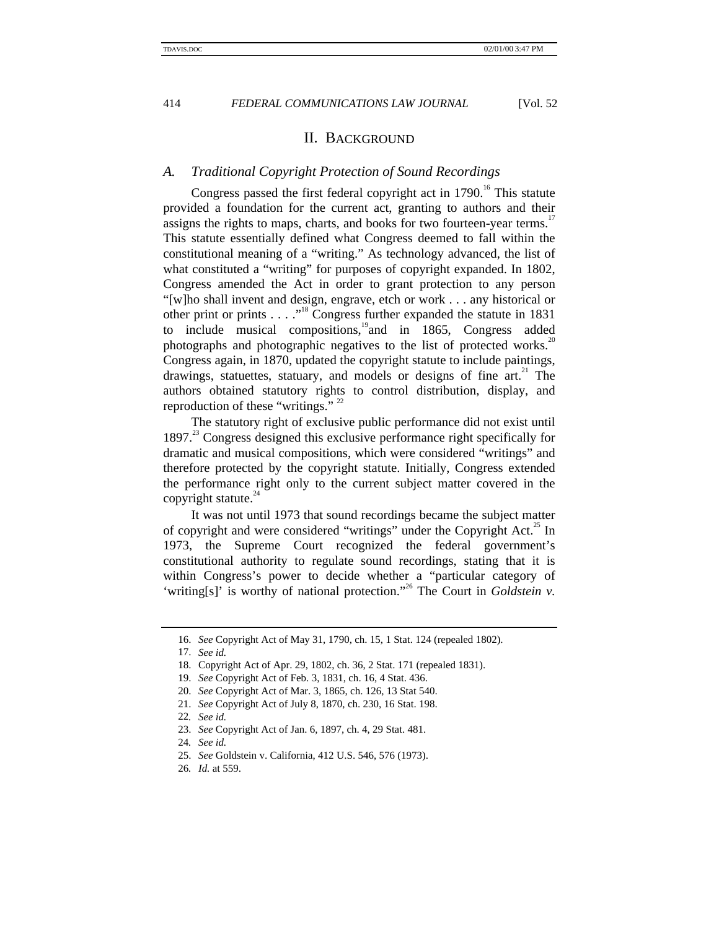# II. BACKGROUND

#### *A. Traditional Copyright Protection of Sound Recordings*

Congress passed the first federal copyright act in  $1790$ .<sup>16</sup> This statute provided a foundation for the current act, granting to authors and their assigns the rights to maps, charts, and books for two fourteen-year terms.<sup>17</sup> This statute essentially defined what Congress deemed to fall within the constitutional meaning of a "writing." As technology advanced, the list of what constituted a "writing" for purposes of copyright expanded. In 1802, Congress amended the Act in order to grant protection to any person "[w]ho shall invent and design, engrave, etch or work . . . any historical or other print or prints  $\ldots$  ."<sup>18</sup> Congress further expanded the statute in 1831 to include musical compositions, $19$ and in 1865, Congress added photographs and photographic negatives to the list of protected works.<sup>20</sup> Congress again, in 1870, updated the copyright statute to include paintings, drawings, statuettes, statuary, and models or designs of fine art.<sup>21</sup> The authors obtained statutory rights to control distribution, display, and reproduction of these "writings."  $2^2$ 

The statutory right of exclusive public performance did not exist until  $1897<sup>23</sup>$  Congress designed this exclusive performance right specifically for dramatic and musical compositions, which were considered "writings" and therefore protected by the copyright statute. Initially, Congress extended the performance right only to the current subject matter covered in the copyright statute. $44$ 

It was not until 1973 that sound recordings became the subject matter of copyright and were considered "writings" under the Copyright Act.<sup>25</sup> In 1973, the Supreme Court recognized the federal government's constitutional authority to regulate sound recordings, stating that it is within Congress's power to decide whether a "particular category of 'writing[s]' is worthy of national protection."<sup>26</sup> The Court in *Goldstein v*.

<sup>16.</sup> *See* Copyright Act of May 31, 1790, ch. 15, 1 Stat. 124 (repealed 1802).

<sup>17.</sup> *See id.*

<sup>18.</sup> Copyright Act of Apr. 29, 1802, ch. 36, 2 Stat. 171 (repealed 1831).

<sup>19.</sup> *See* Copyright Act of Feb. 3, 1831, ch. 16, 4 Stat. 436.

<sup>20.</sup> *See* Copyright Act of Mar. 3, 1865, ch. 126, 13 Stat 540.

<sup>21.</sup> *See* Copyright Act of July 8, 1870, ch. 230, 16 Stat. 198.

<sup>22</sup>*. See id.*

<sup>23.</sup> *See* Copyright Act of Jan. 6, 1897, ch. 4, 29 Stat. 481.

<sup>24</sup>*. See id.*

<sup>25.</sup> *See* Goldstein v. California, 412 U.S. 546, 576 (1973).

<sup>26</sup>*. Id.* at 559.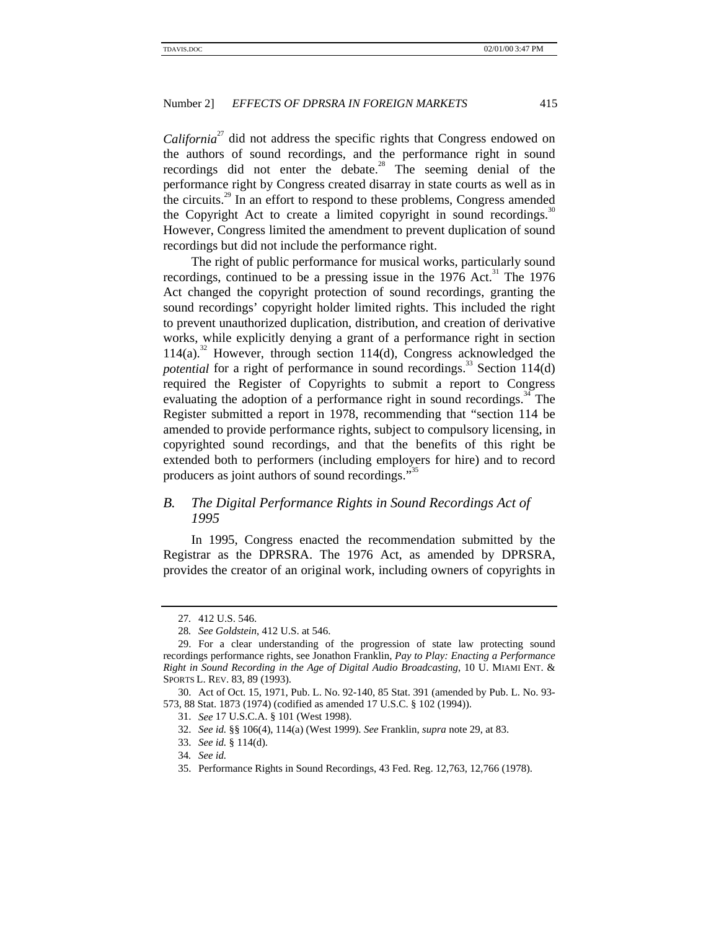*California*<sup>27</sup> did not address the specific rights that Congress endowed on the authors of sound recordings, and the performance right in sound recordings did not enter the debate.<sup>28</sup> The seeming denial of the performance right by Congress created disarray in state courts as well as in the circuits.<sup>29</sup> In an effort to respond to these problems, Congress amended the Copyright Act to create a limited copyright in sound recordings.<sup>30</sup> However, Congress limited the amendment to prevent duplication of sound recordings but did not include the performance right.

The right of public performance for musical works, particularly sound recordings, continued to be a pressing issue in the  $1976$  Act.<sup>31</sup> The 1976 Act changed the copyright protection of sound recordings, granting the sound recordings' copyright holder limited rights. This included the right to prevent unauthorized duplication, distribution, and creation of derivative works, while explicitly denying a grant of a performance right in section  $114(a)$ .<sup>32</sup> However, through section 114(d), Congress acknowledged the *potential* for a right of performance in sound recordings.<sup>33</sup> Section 114(d) required the Register of Copyrights to submit a report to Congress evaluating the adoption of a performance right in sound recordings.<sup>34</sup> The Register submitted a report in 1978, recommending that "section 114 be amended to provide performance rights, subject to compulsory licensing, in copyrighted sound recordings, and that the benefits of this right be extended both to performers (including employers for hire) and to record producers as joint authors of sound recordings."<sup>35</sup>

# *B. The Digital Performance Rights in Sound Recordings Act of 1995*

In 1995, Congress enacted the recommendation submitted by the Registrar as the DPRSRA. The 1976 Act, as amended by DPRSRA, provides the creator of an original work, including owners of copyrights in

<sup>27</sup>*.* 412 U.S. 546.

<sup>28</sup>*. See Goldstein*, 412 U.S. at 546.

<sup>29.</sup> For a clear understanding of the progression of state law protecting sound recordings performance rights, see Jonathon Franklin, *Pay to Play: Enacting a Performance Right in Sound Recording in the Age of Digital Audio Broadcasting*, 10 U. MIAMI ENT. & SPORTS L. REV. 83, 89 (1993).

<sup>30.</sup> Act of Oct. 15, 1971, Pub. L. No. 92-140, 85 Stat. 391 (amended by Pub. L. No. 93- 573, 88 Stat. 1873 (1974) (codified as amended 17 U.S.C. § 102 (1994)).

<sup>31.</sup> *See* 17 U.S.C.A. § 101 (West 1998).

<sup>32.</sup> *See id.* §§ 106(4), 114(a) (West 1999). *See* Franklin, *supra* note 29, at 83.

<sup>33.</sup> *See id.* § 114(d).

<sup>34</sup>*. See id.*

<sup>35.</sup> Performance Rights in Sound Recordings, 43 Fed. Reg. 12,763, 12,766 (1978).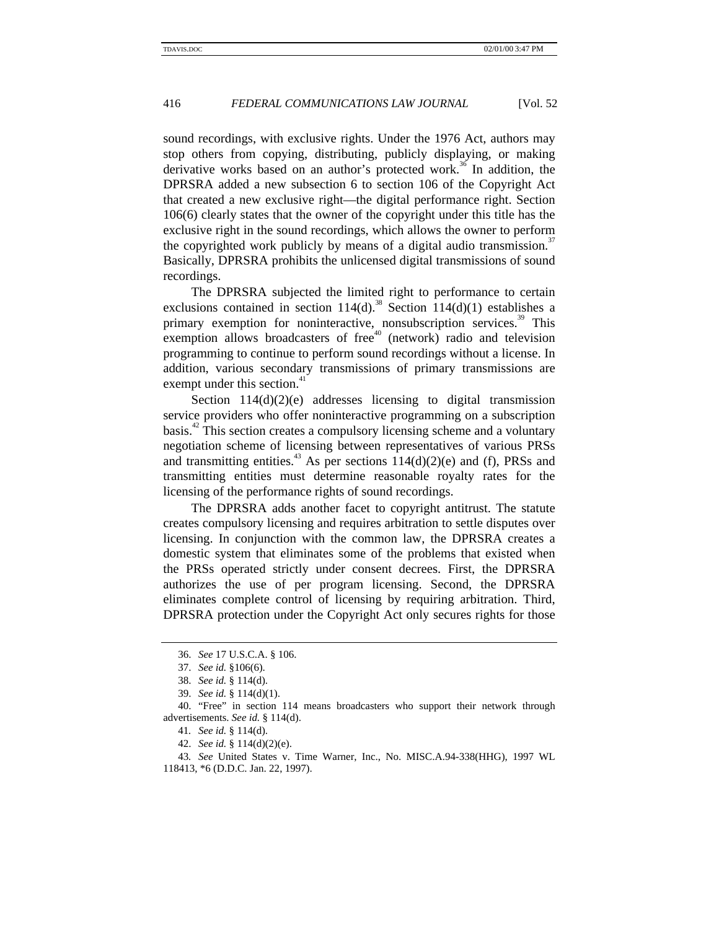sound recordings, with exclusive rights. Under the 1976 Act, authors may stop others from copying, distributing, publicly displaying, or making derivative works based on an author's protected work.<sup>36</sup> In addition, the DPRSRA added a new subsection 6 to section 106 of the Copyright Act that created a new exclusive right—the digital performance right. Section 106(6) clearly states that the owner of the copyright under this title has the exclusive right in the sound recordings, which allows the owner to perform the copyrighted work publicly by means of a digital audio transmission.<sup>37</sup> Basically, DPRSRA prohibits the unlicensed digital transmissions of sound recordings.

The DPRSRA subjected the limited right to performance to certain exclusions contained in section  $114(d)$ .<sup>38</sup> Section  $114(d)(1)$  establishes a primary exemption for noninteractive, nonsubscription services.<sup>39</sup> This exemption allows broadcasters of free $40$  (network) radio and television programming to continue to perform sound recordings without a license. In addition, various secondary transmissions of primary transmissions are exempt under this section.<sup>4</sup>

Section  $114(d)(2)(e)$  addresses licensing to digital transmission service providers who offer noninteractive programming on a subscription basis.<sup>42</sup> This section creates a compulsory licensing scheme and a voluntary negotiation scheme of licensing between representatives of various PRSs and transmitting entities.<sup>43</sup> As per sections  $114(d)(2)(e)$  and (f), PRSs and transmitting entities must determine reasonable royalty rates for the licensing of the performance rights of sound recordings.

The DPRSRA adds another facet to copyright antitrust. The statute creates compulsory licensing and requires arbitration to settle disputes over licensing. In conjunction with the common law, the DPRSRA creates a domestic system that eliminates some of the problems that existed when the PRSs operated strictly under consent decrees. First, the DPRSRA authorizes the use of per program licensing. Second, the DPRSRA eliminates complete control of licensing by requiring arbitration. Third, DPRSRA protection under the Copyright Act only secures rights for those

<sup>36.</sup> *See* 17 U.S.C.A. § 106.

<sup>37.</sup> *See id.* §106(6).

<sup>38.</sup> *See id.* § 114(d).

<sup>39.</sup> *See id.* § 114(d)(1).

<sup>40.</sup> "Free" in section 114 means broadcasters who support their network through advertisements. *See id.* § 114(d).

<sup>41</sup>*. See id.* § 114(d).

<sup>42.</sup> *See id.* § 114(d)(2)(e).

<sup>43</sup>*. See* United States v. Time Warner, Inc., No. MISC.A.94-338(HHG), 1997 WL 118413, \*6 (D.D.C. Jan. 22, 1997).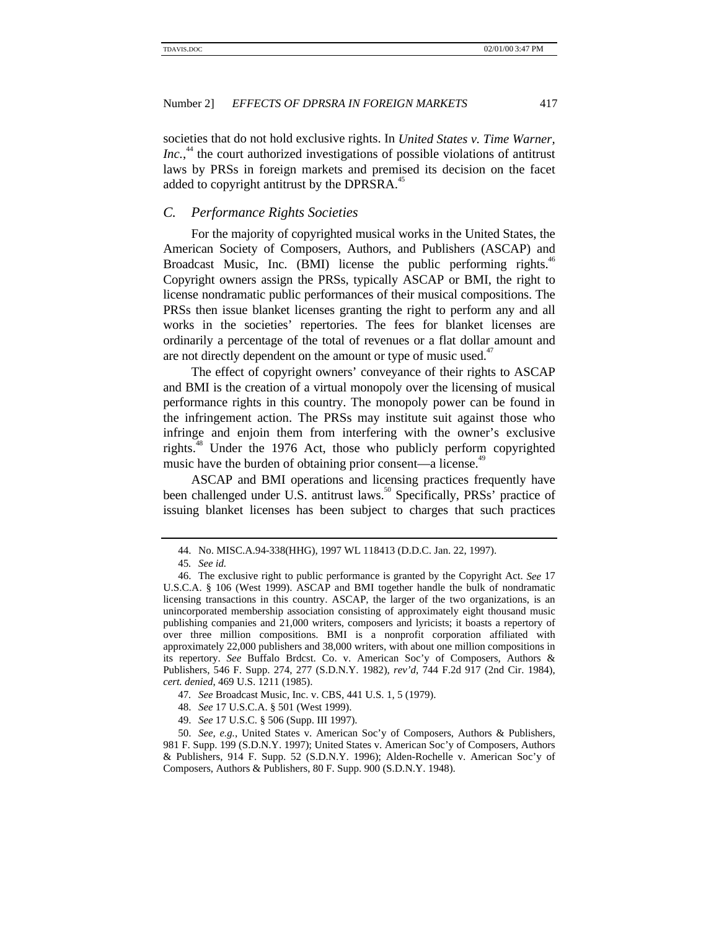societies that do not hold exclusive rights. In *United States v. Time Warner,* Inc.,<sup>44</sup> the court authorized investigations of possible violations of antitrust laws by PRSs in foreign markets and premised its decision on the facet added to copyright antitrust by the DPRSRA.<sup>45</sup>

#### *C. Performance Rights Societies*

For the majority of copyrighted musical works in the United States, the American Society of Composers, Authors, and Publishers (ASCAP) and Broadcast Music, Inc. (BMI) license the public performing rights.<sup>46</sup> Copyright owners assign the PRSs, typically ASCAP or BMI, the right to license nondramatic public performances of their musical compositions. The PRSs then issue blanket licenses granting the right to perform any and all works in the societies' repertories. The fees for blanket licenses are ordinarily a percentage of the total of revenues or a flat dollar amount and are not directly dependent on the amount or type of music used. $47$ 

The effect of copyright owners' conveyance of their rights to ASCAP and BMI is the creation of a virtual monopoly over the licensing of musical performance rights in this country. The monopoly power can be found in the infringement action. The PRSs may institute suit against those who infringe and enjoin them from interfering with the owner's exclusive rights.<sup>48</sup> Under the 1976 Act, those who publicly perform copyrighted music have the burden of obtaining prior consent—a license.<sup>49</sup>

ASCAP and BMI operations and licensing practices frequently have been challenged under U.S. antitrust laws.<sup>50</sup> Specifically, PRSs<sup>3</sup> practice of issuing blanket licenses has been subject to charges that such practices

- 47*. See* Broadcast Music, Inc. v. CBS, 441 U.S. 1, 5 (1979).
- 48. *See* 17 U.S.C.A. § 501 (West 1999).
- 49. *See* 17 U.S.C. § 506 (Supp. III 1997).

<sup>44.</sup> No. MISC.A.94-338(HHG), 1997 WL 118413 (D.D.C. Jan. 22, 1997).

<sup>45</sup>*. See id.*

<sup>46.</sup> The exclusive right to public performance is granted by the Copyright Act. *See* 17 U.S.C.A. § 106 (West 1999). ASCAP and BMI together handle the bulk of nondramatic licensing transactions in this country. ASCAP, the larger of the two organizations, is an unincorporated membership association consisting of approximately eight thousand music publishing companies and 21,000 writers, composers and lyricists; it boasts a repertory of over three million compositions. BMI is a nonprofit corporation affiliated with approximately 22,000 publishers and 38,000 writers, with about one million compositions in its repertory. *See* Buffalo Brdcst. Co. v. American Soc'y of Composers, Authors & Publishers, 546 F. Supp. 274, 277 (S.D.N.Y. 1982), *rev'd*, 744 F.2d 917 (2nd Cir. 1984), *cert. denied*, 469 U.S. 1211 (1985).

<sup>50.</sup> *See, e.g.*, United States v. American Soc'y of Composers, Authors & Publishers, 981 F. Supp. 199 (S.D.N.Y. 1997); United States v. American Soc'y of Composers, Authors & Publishers, 914 F. Supp. 52 (S.D.N.Y. 1996); Alden-Rochelle v. American Soc'y of Composers, Authors & Publishers, 80 F. Supp. 900 (S.D.N.Y. 1948).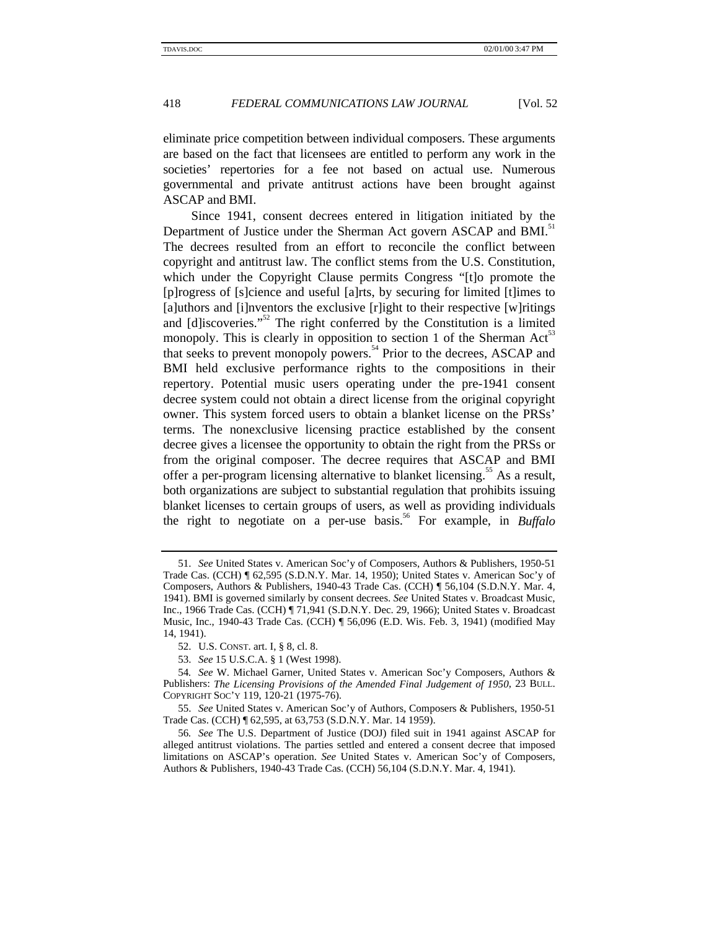eliminate price competition between individual composers. These arguments are based on the fact that licensees are entitled to perform any work in the societies' repertories for a fee not based on actual use. Numerous governmental and private antitrust actions have been brought against ASCAP and BMI.

Since 1941, consent decrees entered in litigation initiated by the Department of Justice under the Sherman Act govern ASCAP and BMI.<sup>51</sup> The decrees resulted from an effort to reconcile the conflict between copyright and antitrust law. The conflict stems from the U.S. Constitution, which under the Copyright Clause permits Congress "[t]o promote the [p]rogress of [s]cience and useful [a]rts, by securing for limited [t]imes to [a]uthors and [i]nventors the exclusive [r]ight to their respective [w]ritings and [d]iscoveries."<sup>52</sup> The right conferred by the Constitution is a limited monopoly. This is clearly in opposition to section 1 of the Sherman Act<sup>53</sup> that seeks to prevent monopoly powers.54 Prior to the decrees, ASCAP and BMI held exclusive performance rights to the compositions in their repertory. Potential music users operating under the pre-1941 consent decree system could not obtain a direct license from the original copyright owner. This system forced users to obtain a blanket license on the PRSs' terms. The nonexclusive licensing practice established by the consent decree gives a licensee the opportunity to obtain the right from the PRSs or from the original composer. The decree requires that ASCAP and BMI offer a per-program licensing alternative to blanket licensing.<sup>55</sup> As a result, both organizations are subject to substantial regulation that prohibits issuing blanket licenses to certain groups of users, as well as providing individuals the right to negotiate on a per-use basis.<sup>56</sup> For example, in *Buffalo* 

<sup>51.</sup> *See* United States v. American Soc'y of Composers, Authors & Publishers, 1950-51 Trade Cas. (CCH) ¶ 62,595 (S.D.N.Y. Mar. 14, 1950); United States v. American Soc'y of Composers, Authors & Publishers, 1940-43 Trade Cas. (CCH) ¶ 56,104 (S.D.N.Y. Mar. 4, 1941). BMI is governed similarly by consent decrees. *See* United States v. Broadcast Music, Inc., 1966 Trade Cas. (CCH) ¶ 71,941 (S.D.N.Y. Dec. 29, 1966); United States v. Broadcast Music, Inc., 1940-43 Trade Cas. (CCH) ¶ 56,096 (E.D. Wis. Feb. 3, 1941) (modified May 14, 1941).

<sup>52.</sup> U.S. CONST. art. I, § 8, cl. 8.

<sup>53.</sup> *See* 15 U.S.C.A. § 1 (West 1998).

<sup>54</sup>*. See* W. Michael Garner*,* United States v. American Soc'y Composers, Authors & Publishers: *The Licensing Provisions of the Amended Final Judgement of 1950*, 23 BULL. COPYRIGHT SOC'Y 119, 120-21 (1975-76).

<sup>55.</sup> *See* United States v. American Soc'y of Authors, Composers & Publishers, 1950-51 Trade Cas. (CCH) ¶ 62,595, at 63,753 (S.D.N.Y. Mar. 14 1959).

<sup>56</sup>*. See* The U.S. Department of Justice (DOJ) filed suit in 1941 against ASCAP for alleged antitrust violations. The parties settled and entered a consent decree that imposed limitations on ASCAP's operation. *See* United States v. American Soc'y of Composers, Authors & Publishers, 1940-43 Trade Cas. (CCH) 56,104 (S.D.N.Y. Mar. 4, 1941).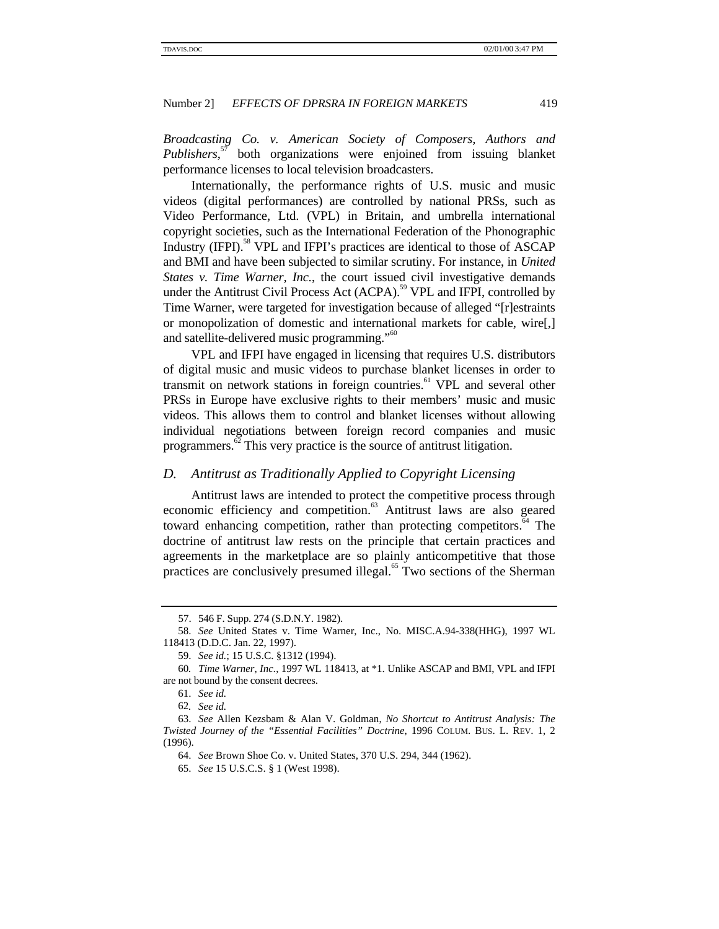*Broadcasting Co. v. American Society of Composers, Authors and Publishers*, 57 both organizations were enjoined from issuing blanket performance licenses to local television broadcasters.

Internationally, the performance rights of U.S. music and music videos (digital performances) are controlled by national PRSs, such as Video Performance, Ltd. (VPL) in Britain, and umbrella international copyright societies, such as the International Federation of the Phonographic Industry (IFPI).<sup>58</sup> VPL and IFPI's practices are identical to those of ASCAP and BMI and have been subjected to similar scrutiny. For instance, in *United States v. Time Warner, Inc.*, the court issued civil investigative demands under the Antitrust Civil Process Act (ACPA).<sup>59</sup> VPL and IFPI, controlled by Time Warner, were targeted for investigation because of alleged "[r]estraints or monopolization of domestic and international markets for cable, wire[,] and satellite-delivered music programming."<sup>60</sup>

VPL and IFPI have engaged in licensing that requires U.S. distributors of digital music and music videos to purchase blanket licenses in order to transmit on network stations in foreign countries.<sup>61</sup> VPL and several other PRSs in Europe have exclusive rights to their members' music and music videos. This allows them to control and blanket licenses without allowing individual negotiations between foreign record companies and music programmers.<sup>62</sup> This very practice is the source of antitrust litigation.

#### *D. Antitrust as Traditionally Applied to Copyright Licensing*

Antitrust laws are intended to protect the competitive process through economic efficiency and competition.<sup>63</sup> Antitrust laws are also geared toward enhancing competition, rather than protecting competitors.<sup>64</sup> The doctrine of antitrust law rests on the principle that certain practices and agreements in the marketplace are so plainly anticompetitive that those practices are conclusively presumed illegal.<sup>65</sup> Two sections of the Sherman

<sup>57. 546</sup> F. Supp. 274 (S.D.N.Y. 1982).

<sup>58.</sup> *See* United States v. Time Warner, Inc., No. MISC.A.94-338(HHG), 1997 WL 118413 (D.D.C. Jan. 22, 1997).

<sup>59.</sup> *See id.*; 15 U.S.C. §1312 (1994).

<sup>60</sup>*. Time Warner, Inc.*, 1997 WL 118413, at \*1. Unlike ASCAP and BMI, VPL and IFPI are not bound by the consent decrees.

<sup>61.</sup> *See id.*

<sup>62</sup>*. See id.*

<sup>63.</sup> *See* Allen Kezsbam & Alan V. Goldman, *No Shortcut to Antitrust Analysis: The Twisted Journey of the "Essential Facilities" Doctrine*, 1996 COLUM. BUS. L. REV. 1, 2 (1996).

<sup>64.</sup> *See* Brown Shoe Co. v. United States, 370 U.S. 294, 344 (1962).

<sup>65.</sup> *See* 15 U.S.C.S. § 1 (West 1998).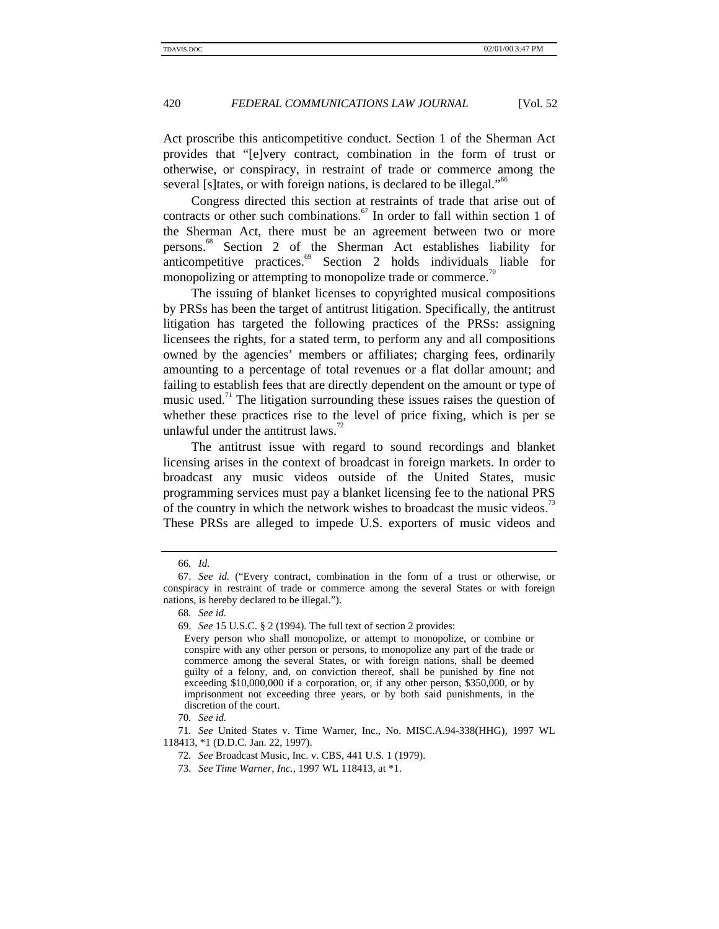Act proscribe this anticompetitive conduct. Section 1 of the Sherman Act provides that "[e]very contract, combination in the form of trust or otherwise, or conspiracy, in restraint of trade or commerce among the several [s]tates, or with foreign nations, is declared to be illegal."<sup>66</sup>

Congress directed this section at restraints of trade that arise out of contracts or other such combinations. $67$  In order to fall within section 1 of the Sherman Act, there must be an agreement between two or more persons.68 Section 2 of the Sherman Act establishes liability for anticompetitive practices.<sup>69</sup> Section 2 holds individuals liable for monopolizing or attempting to monopolize trade or commerce.<sup>70</sup>

The issuing of blanket licenses to copyrighted musical compositions by PRSs has been the target of antitrust litigation. Specifically, the antitrust litigation has targeted the following practices of the PRSs: assigning licensees the rights, for a stated term, to perform any and all compositions owned by the agencies' members or affiliates; charging fees, ordinarily amounting to a percentage of total revenues or a flat dollar amount; and failing to establish fees that are directly dependent on the amount or type of music used.<sup>71</sup> The litigation surrounding these issues raises the question of whether these practices rise to the level of price fixing, which is per se unlawful under the antitrust laws. $\frac{7}{2}$ 

The antitrust issue with regard to sound recordings and blanket licensing arises in the context of broadcast in foreign markets. In order to broadcast any music videos outside of the United States, music programming services must pay a blanket licensing fee to the national PRS of the country in which the network wishes to broadcast the music videos.<sup>1</sup> These PRSs are alleged to impede U.S. exporters of music videos and

71*. See* United States v. Time Warner, Inc., No. MISC.A.94-338(HHG), 1997 WL 118413, \*1 (D.D.C. Jan. 22, 1997).

<sup>66</sup>*. Id.*

<sup>67.</sup> *See id.* ("Every contract, combination in the form of a trust or otherwise, or conspiracy in restraint of trade or commerce among the several States or with foreign nations, is hereby declared to be illegal.").

<sup>68</sup>*. See id.*

<sup>69.</sup> *See* 15 U.S.C. § 2 (1994). The full text of section 2 provides:

Every person who shall monopolize, or attempt to monopolize, or combine or conspire with any other person or persons, to monopolize any part of the trade or commerce among the several States, or with foreign nations, shall be deemed guilty of a felony, and, on conviction thereof, shall be punished by fine not exceeding \$10,000,000 if a corporation, or, if any other person, \$350,000, or by imprisonment not exceeding three years, or by both said punishments, in the discretion of the court.

<sup>70</sup>*. See id.*

<sup>72</sup>*. See* Broadcast Music, Inc. v. CBS, 441 U.S. 1 (1979).

<sup>73.</sup> *See Time Warner, Inc.*, 1997 WL 118413, at \*1.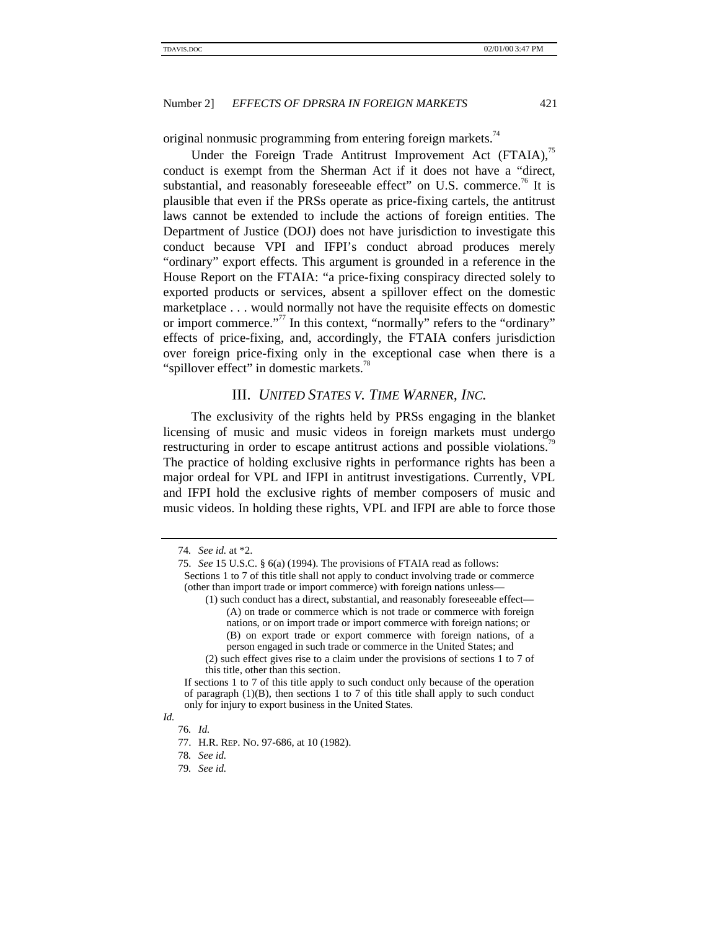original nonmusic programming from entering foreign markets.<sup>74</sup>

Under the Foreign Trade Antitrust Improvement Act (FTAIA),<sup>75</sup> conduct is exempt from the Sherman Act if it does not have a "direct, substantial, and reasonably foreseeable effect" on U.S. commerce.<sup>76</sup> It is plausible that even if the PRSs operate as price-fixing cartels, the antitrust laws cannot be extended to include the actions of foreign entities. The Department of Justice (DOJ) does not have jurisdiction to investigate this conduct because VPI and IFPI's conduct abroad produces merely "ordinary" export effects. This argument is grounded in a reference in the House Report on the FTAIA: "a price-fixing conspiracy directed solely to exported products or services, absent a spillover effect on the domestic marketplace . . . would normally not have the requisite effects on domestic or import commerce."<sup>77</sup> In this context, "normally" refers to the "ordinary" effects of price-fixing, and, accordingly, the FTAIA confers jurisdiction over foreign price-fixing only in the exceptional case when there is a "spillover effect" in domestic markets.<sup>78</sup>

# III. *UNITED STATES V. TIME WARNER, INC.*

The exclusivity of the rights held by PRSs engaging in the blanket licensing of music and music videos in foreign markets must undergo restructuring in order to escape antitrust actions and possible violations.<sup>19</sup> The practice of holding exclusive rights in performance rights has been a major ordeal for VPL and IFPI in antitrust investigations. Currently, VPL and IFPI hold the exclusive rights of member composers of music and music videos. In holding these rights, VPL and IFPI are able to force those

<sup>74</sup>*. See id.* at \*2.

<sup>75.</sup> *See* 15 U.S.C. § 6(a) (1994). The provisions of FTAIA read as follows: Sections 1 to 7 of this title shall not apply to conduct involving trade or commerce (other than import trade or import commerce) with foreign nations unless—

<sup>(1)</sup> such conduct has a direct, substantial, and reasonably foreseeable effect— (A) on trade or commerce which is not trade or commerce with foreign nations, or on import trade or import commerce with foreign nations; or (B) on export trade or export commerce with foreign nations, of a person engaged in such trade or commerce in the United States; and

<sup>(2)</sup> such effect gives rise to a claim under the provisions of sections 1 to 7 of this title, other than this section.

If sections 1 to 7 of this title apply to such conduct only because of the operation of paragraph  $(1)(B)$ , then sections 1 to 7 of this title shall apply to such conduct only for injury to export business in the United States.

*Id.* 76*. Id.*

<sup>77.</sup> H.R. REP. NO. 97-686, at 10 (1982).

<sup>78</sup>*. See id.*

<sup>79</sup>*. See id.*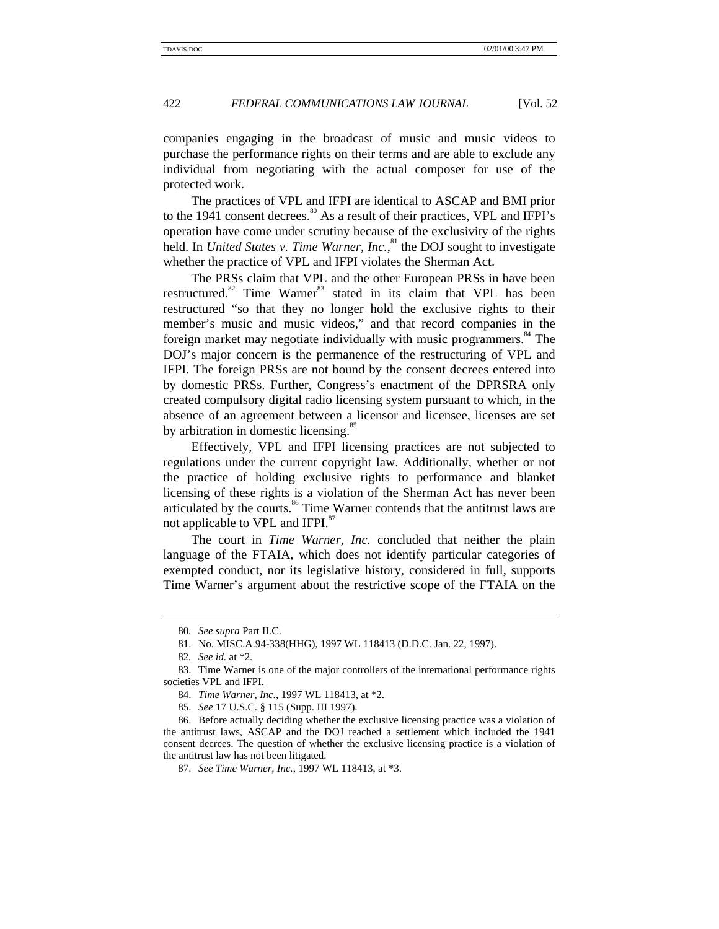companies engaging in the broadcast of music and music videos to purchase the performance rights on their terms and are able to exclude any individual from negotiating with the actual composer for use of the protected work.

The practices of VPL and IFPI are identical to ASCAP and BMI prior to the 1941 consent decrees.<sup>80</sup> As a result of their practices, VPL and IFPI's operation have come under scrutiny because of the exclusivity of the rights held. In *United States v. Time Warner, Inc.*,<sup>81</sup> the DOJ sought to investigate whether the practice of VPL and IFPI violates the Sherman Act.

The PRSs claim that VPL and the other European PRSs in have been restructured.<sup>82</sup> Time Warner<sup>83</sup> stated in its claim that VPL has been restructured "so that they no longer hold the exclusive rights to their member's music and music videos," and that record companies in the foreign market may negotiate individually with music programmers.<sup>84</sup> The DOJ's major concern is the permanence of the restructuring of VPL and IFPI. The foreign PRSs are not bound by the consent decrees entered into by domestic PRSs. Further, Congress's enactment of the DPRSRA only created compulsory digital radio licensing system pursuant to which, in the absence of an agreement between a licensor and licensee, licenses are set by arbitration in domestic licensing.<sup>85</sup>

Effectively, VPL and IFPI licensing practices are not subjected to regulations under the current copyright law. Additionally, whether or not the practice of holding exclusive rights to performance and blanket licensing of these rights is a violation of the Sherman Act has never been articulated by the courts.<sup>86</sup> Time Warner contends that the antitrust laws are not applicable to VPL and IFPI.<sup>87</sup>

The court in *Time Warner, Inc.* concluded that neither the plain language of the FTAIA, which does not identify particular categories of exempted conduct, nor its legislative history, considered in full, supports Time Warner's argument about the restrictive scope of the FTAIA on the

<sup>80</sup>*. See supra* Part II.C.

<sup>81.</sup> No. MISC.A.94-338(HHG), 1997 WL 118413 (D.D.C. Jan. 22, 1997).

<sup>82</sup>*. See id.* at \*2*.*

<sup>83.</sup> Time Warner is one of the major controllers of the international performance rights societies VPL and IFPI.

<sup>84.</sup> *Time Warner, Inc.*, 1997 WL 118413, at \*2.

<sup>85.</sup> *See* 17 U.S.C. § 115 (Supp. III 1997).

<sup>86.</sup> Before actually deciding whether the exclusive licensing practice was a violation of the antitrust laws, ASCAP and the DOJ reached a settlement which included the 1941 consent decrees. The question of whether the exclusive licensing practice is a violation of the antitrust law has not been litigated.

<sup>87.</sup> *See Time Warner, Inc.*, 1997 WL 118413, at \*3.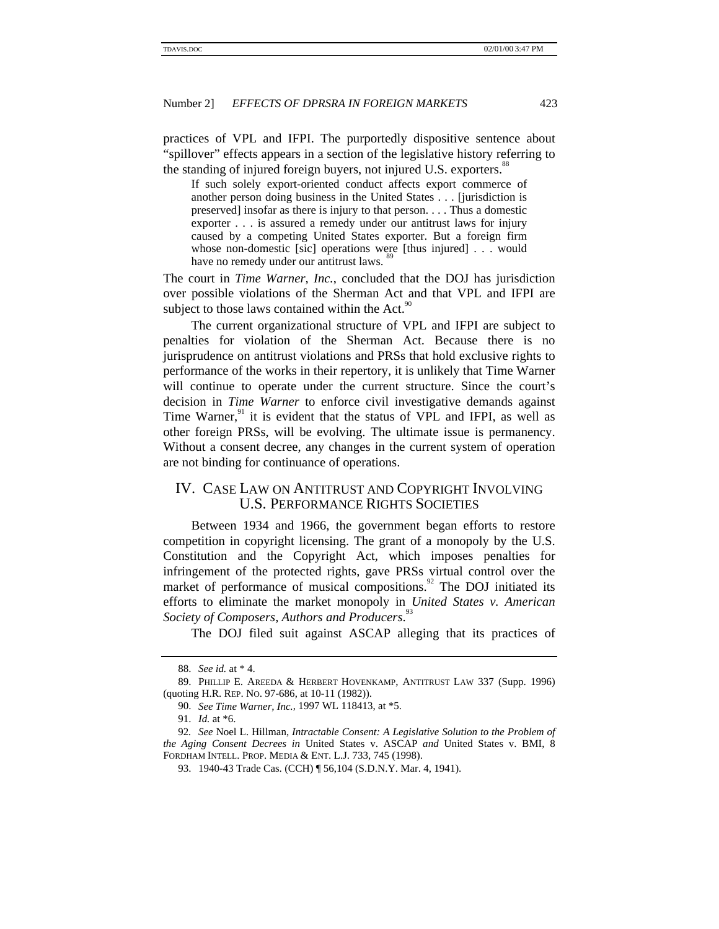practices of VPL and IFPI. The purportedly dispositive sentence about "spillover" effects appears in a section of the legislative history referring to the standing of injured foreign buyers, not injured U.S. exporters.<sup>88</sup>

If such solely export-oriented conduct affects export commerce of another person doing business in the United States . . . [jurisdiction is preserved] insofar as there is injury to that person. . . . Thus a domestic exporter . . . is assured a remedy under our antitrust laws for injury caused by a competing United States exporter. But a foreign firm whose non-domestic [sic] operations were [thus injured] . . . would have no remedy under our antitrust laws.

The court in *Time Warner, Inc.*, concluded that the DOJ has jurisdiction over possible violations of the Sherman Act and that VPL and IFPI are subject to those laws contained within the Act.<sup>9</sup>

The current organizational structure of VPL and IFPI are subject to penalties for violation of the Sherman Act. Because there is no jurisprudence on antitrust violations and PRSs that hold exclusive rights to performance of the works in their repertory, it is unlikely that Time Warner will continue to operate under the current structure. Since the court's decision in *Time Warner* to enforce civil investigative demands against Time Warner, $91$  it is evident that the status of VPL and IFPI, as well as other foreign PRSs, will be evolving. The ultimate issue is permanency. Without a consent decree, any changes in the current system of operation are not binding for continuance of operations.

# IV. CASE LAW ON ANTITRUST AND COPYRIGHT INVOLVING U.S. PERFORMANCE RIGHTS SOCIETIES

Between 1934 and 1966, the government began efforts to restore competition in copyright licensing. The grant of a monopoly by the U.S. Constitution and the Copyright Act, which imposes penalties for infringement of the protected rights, gave PRSs virtual control over the market of performance of musical compositions.<sup>92</sup> The DOJ initiated its efforts to eliminate the market monopoly in *United States v. American* Society of Composers, Authors and Producers.<sup>93</sup>

The DOJ filed suit against ASCAP alleging that its practices of

<sup>88.</sup> *See id.* at \* 4.

<sup>89.</sup> PHILLIP E. AREEDA & HERBERT HOVENKAMP, ANTITRUST LAW 337 (Supp. 1996) (quoting H.R. REP. NO. 97-686, at 10-11 (1982)).

<sup>90.</sup> *See Time Warner, Inc.*, 1997 WL 118413, at \*5.

<sup>91.</sup> *Id.* at \*6.

<sup>92</sup>*. See* Noel L. Hillman, *Intractable Consent: A Legislative Solution to the Problem of the Aging Consent Decrees in* United States v. ASCAP *and* United States v. BMI, 8 FORDHAM INTELL. PROP. MEDIA & ENT. L.J. 733, 745 (1998).

<sup>93. 1940-43</sup> Trade Cas. (CCH) ¶ 56,104 (S.D.N.Y. Mar. 4, 1941).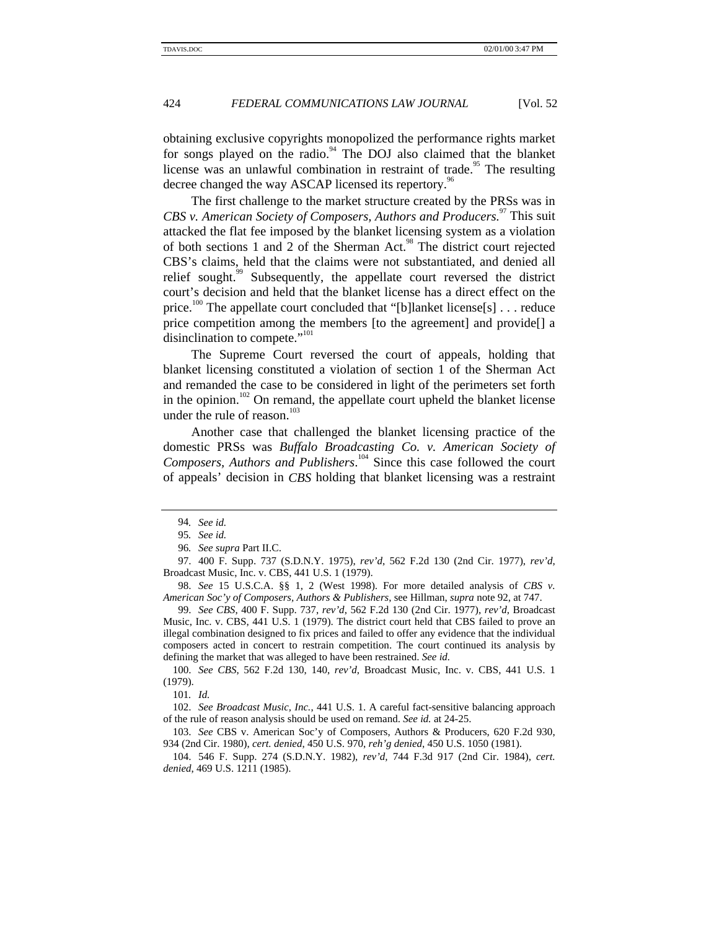obtaining exclusive copyrights monopolized the performance rights market for songs played on the radio.<sup>94</sup> The DOJ also claimed that the blanket license was an unlawful combination in restraint of trade.<sup>95</sup> The resulting decree changed the way ASCAP licensed its repertory.<sup>96</sup>

The first challenge to the market structure created by the PRSs was in *CBS v. American Society of Composers, Authors and Producers.*<sup>97</sup> This suit attacked the flat fee imposed by the blanket licensing system as a violation of both sections 1 and 2 of the Sherman Act.<sup>98</sup> The district court rejected CBS's claims, held that the claims were not substantiated, and denied all relief sought.<sup>99</sup> Subsequently, the appellate court reversed the district court's decision and held that the blanket license has a direct effect on the price.<sup>100</sup> The appellate court concluded that "[b]lanket license[s] . . . reduce price competition among the members [to the agreement] and provide[] a disinclination to compete."<sup>101</sup>

The Supreme Court reversed the court of appeals, holding that blanket licensing constituted a violation of section 1 of the Sherman Act and remanded the case to be considered in light of the perimeters set forth in the opinion.<sup>102</sup> On remand, the appellate court upheld the blanket license under the rule of reason.<sup>103</sup>

Another case that challenged the blanket licensing practice of the domestic PRSs was *Buffalo Broadcasting Co. v. American Society of Composers, Authors and Publishers*. 104 Since this case followed the court of appeals' decision in *CBS* holding that blanket licensing was a restraint

100. *See CBS*, 562 F.2d 130, 140, *rev'd*, Broadcast Music, Inc. v. CBS, 441 U.S. 1 (1979).

101*. Id.*

102. *See Broadcast Music, Inc.*, 441 U.S. 1. A careful fact-sensitive balancing approach of the rule of reason analysis should be used on remand. *See id.* at 24-25.

104. 546 F. Supp. 274 (S.D.N.Y. 1982), *rev'd,* 744 F.3d 917 (2nd Cir. 1984), *cert. denied*, 469 U.S. 1211 (1985).

<sup>94</sup>*. See id.*

<sup>95</sup>*. See id.*

<sup>96</sup>*. See supra* Part II.C.

<sup>97. 400</sup> F. Supp. 737 (S.D.N.Y. 1975), *rev'd*, 562 F.2d 130 (2nd Cir. 1977), *rev'd*, Broadcast Music, Inc. v. CBS, 441 U.S. 1 (1979).

<sup>98.</sup> *See* 15 U.S.C.A. §§ 1, 2 (West 1998). For more detailed analysis of *CBS v. American Soc'y of Composers, Authors & Publishers*, see Hillman, *supra* note 92, at 747.

<sup>99.</sup> *See CBS*, 400 F. Supp. 737, *rev'd*, 562 F.2d 130 (2nd Cir. 1977), *rev'd*, Broadcast Music, Inc. v. CBS, 441 U.S. 1 (1979). The district court held that CBS failed to prove an illegal combination designed to fix prices and failed to offer any evidence that the individual composers acted in concert to restrain competition. The court continued its analysis by defining the market that was alleged to have been restrained. *See id.*

<sup>103.</sup> *See* CBS v. American Soc'y of Composers, Authors & Producers, 620 F.2d 930, 934 (2nd Cir. 1980), *cert. denied*, 450 U.S. 970, *reh'g denied*, 450 U.S. 1050 (1981).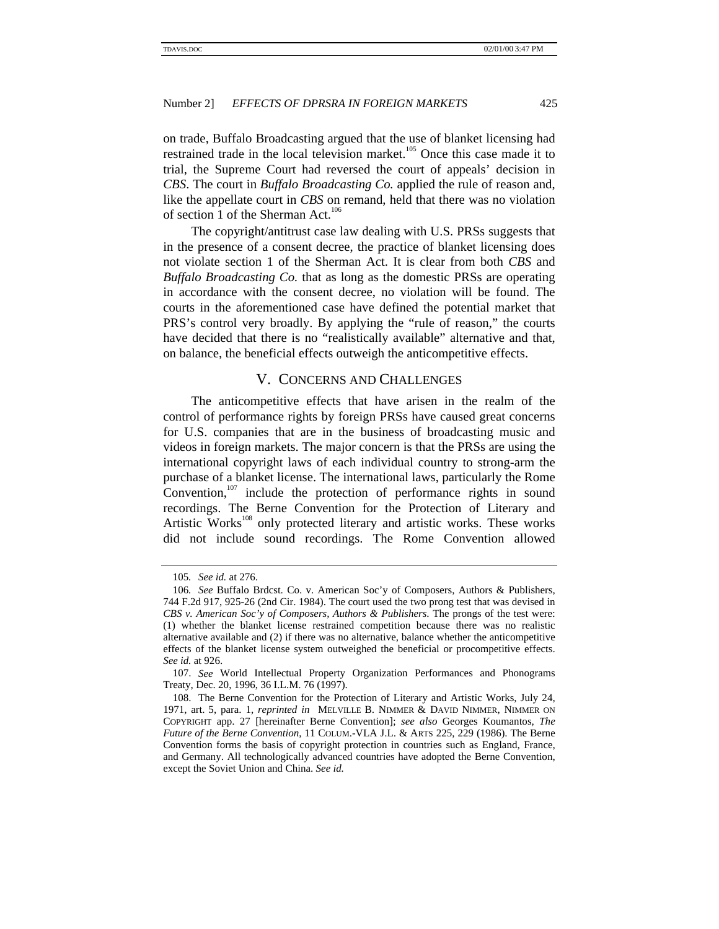on trade, Buffalo Broadcasting argued that the use of blanket licensing had restrained trade in the local television market.<sup>105</sup> Once this case made it to trial, the Supreme Court had reversed the court of appeals' decision in *CBS*. The court in *Buffalo Broadcasting Co.* applied the rule of reason and, like the appellate court in *CBS* on remand, held that there was no violation of section 1 of the Sherman Act.<sup>106</sup>

The copyright/antitrust case law dealing with U.S. PRSs suggests that in the presence of a consent decree, the practice of blanket licensing does not violate section 1 of the Sherman Act. It is clear from both *CBS* and *Buffalo Broadcasting Co.* that as long as the domestic PRSs are operating in accordance with the consent decree, no violation will be found. The courts in the aforementioned case have defined the potential market that PRS's control very broadly. By applying the "rule of reason," the courts have decided that there is no "realistically available" alternative and that, on balance, the beneficial effects outweigh the anticompetitive effects.

# V. CONCERNS AND CHALLENGES

The anticompetitive effects that have arisen in the realm of the control of performance rights by foreign PRSs have caused great concerns for U.S. companies that are in the business of broadcasting music and videos in foreign markets. The major concern is that the PRSs are using the international copyright laws of each individual country to strong-arm the purchase of a blanket license. The international laws, particularly the Rome Convention, $107$  include the protection of performance rights in sound recordings. The Berne Convention for the Protection of Literary and Artistic Works<sup>108</sup> only protected literary and artistic works. These works did not include sound recordings. The Rome Convention allowed

<sup>105</sup>*. See id.* at 276.

<sup>106</sup>*. See* Buffalo Brdcst. Co. v. American Soc'y of Composers, Authors & Publishers, 744 F.2d 917, 925-26 (2nd Cir. 1984). The court used the two prong test that was devised in *CBS v. American Soc'y of Composers, Authors & Publishers*. The prongs of the test were: (1) whether the blanket license restrained competition because there was no realistic alternative available and (2) if there was no alternative, balance whether the anticompetitive effects of the blanket license system outweighed the beneficial or procompetitive effects. *See id.* at 926.

<sup>107.</sup> *See* World Intellectual Property Organization Performances and Phonograms Treaty, Dec. 20, 1996, 36 I.L.M. 76 (1997).

<sup>108.</sup> The Berne Convention for the Protection of Literary and Artistic Works, July 24, 1971, art. 5, para. 1, *reprinted in* MELVILLE B. NIMMER & DAVID NIMMER, NIMMER ON COPYRIGHT app. 27 [hereinafter Berne Convention]; *see also* Georges Koumantos, *The Future of the Berne Convention*, 11 COLUM.-VLA J.L. & ARTS 225, 229 (1986). The Berne Convention forms the basis of copyright protection in countries such as England, France, and Germany. All technologically advanced countries have adopted the Berne Convention, except the Soviet Union and China. *See id.*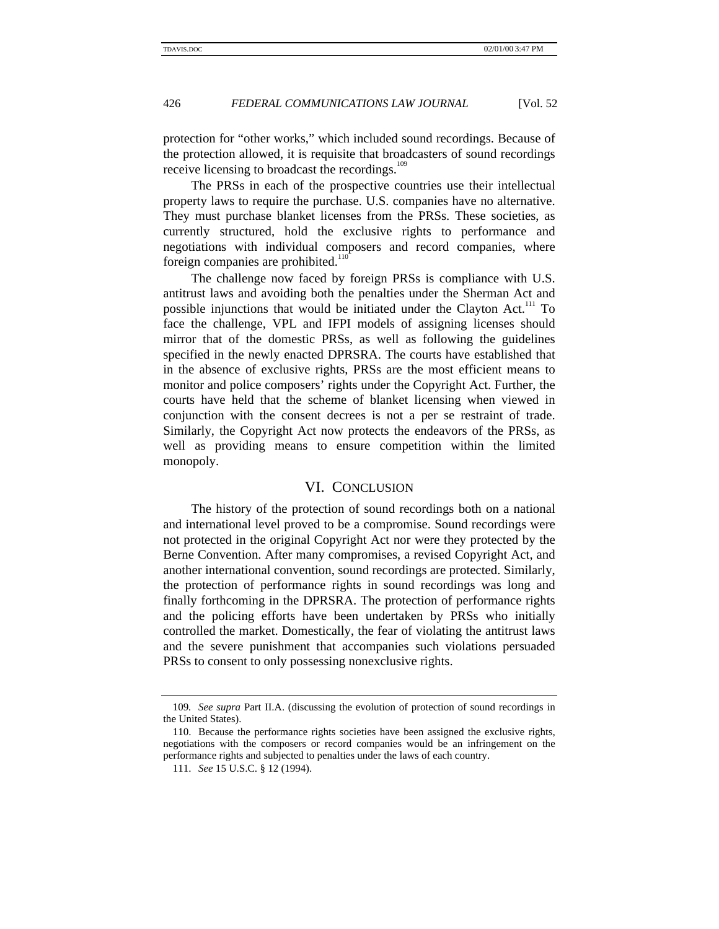protection for "other works," which included sound recordings. Because of the protection allowed, it is requisite that broadcasters of sound recordings receive licensing to broadcast the recordings.<sup>109</sup>

The PRSs in each of the prospective countries use their intellectual property laws to require the purchase. U.S. companies have no alternative. They must purchase blanket licenses from the PRSs. These societies, as currently structured, hold the exclusive rights to performance and negotiations with individual composers and record companies, where foreign companies are prohibited. $110$ 

The challenge now faced by foreign PRSs is compliance with U.S. antitrust laws and avoiding both the penalties under the Sherman Act and possible injunctions that would be initiated under the Clayton Act.<sup>111</sup> To face the challenge, VPL and IFPI models of assigning licenses should mirror that of the domestic PRSs, as well as following the guidelines specified in the newly enacted DPRSRA. The courts have established that in the absence of exclusive rights, PRSs are the most efficient means to monitor and police composers' rights under the Copyright Act. Further, the courts have held that the scheme of blanket licensing when viewed in conjunction with the consent decrees is not a per se restraint of trade. Similarly, the Copyright Act now protects the endeavors of the PRSs, as well as providing means to ensure competition within the limited monopoly.

#### VI. CONCLUSION

The history of the protection of sound recordings both on a national and international level proved to be a compromise. Sound recordings were not protected in the original Copyright Act nor were they protected by the Berne Convention. After many compromises, a revised Copyright Act, and another international convention, sound recordings are protected. Similarly, the protection of performance rights in sound recordings was long and finally forthcoming in the DPRSRA. The protection of performance rights and the policing efforts have been undertaken by PRSs who initially controlled the market. Domestically, the fear of violating the antitrust laws and the severe punishment that accompanies such violations persuaded PRSs to consent to only possessing nonexclusive rights.

<sup>109</sup>*. See supra* Part II.A. (discussing the evolution of protection of sound recordings in the United States).

<sup>110.</sup> Because the performance rights societies have been assigned the exclusive rights, negotiations with the composers or record companies would be an infringement on the performance rights and subjected to penalties under the laws of each country.

<sup>111.</sup> *See* 15 U.S.C. § 12 (1994).